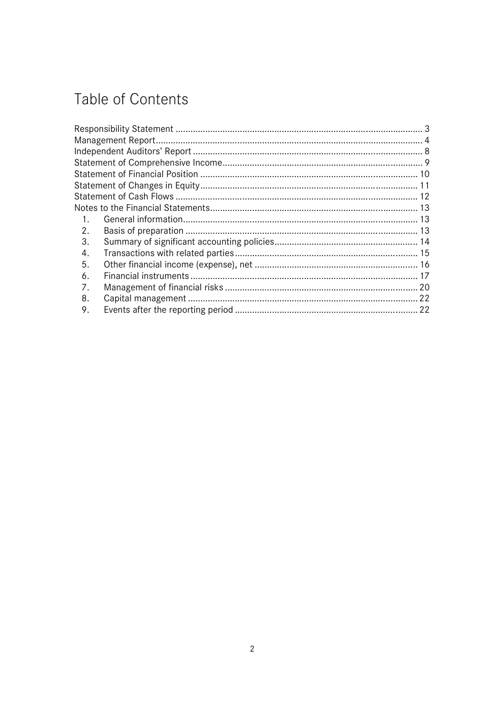# Table of Contents

| 1. |  |
|----|--|
| 2. |  |
| 3. |  |
| 4. |  |
| 5. |  |
| 6. |  |
| 7. |  |
| 8. |  |
| 9. |  |
|    |  |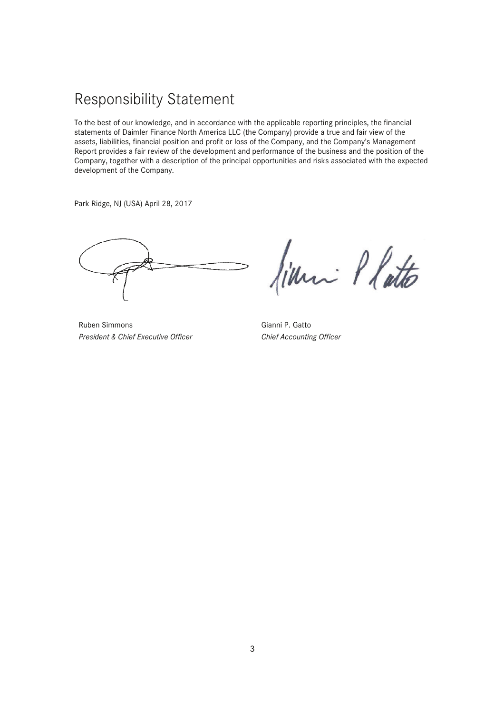# **Responsibility Statement**

To the best of our knowledge, and in accordance with the applicable reporting principles, the financial statements of Daimler Finance North America LLC (the Company) provide a true and fair view of the assets, liabilities, financial position and profit or loss of the Company, and the Company's Management Report provides a fair review of the development and performance of the business and the position of the Company, together with a description of the principal opportunities and risks associated with the expected development of the Company.

Park Ridge, NJ (USA) April 28, 2017

Vimi Platto

Gianni P. Gatto **Chief Accounting Officer** 

**Ruben Simmons** President & Chief Executive Officer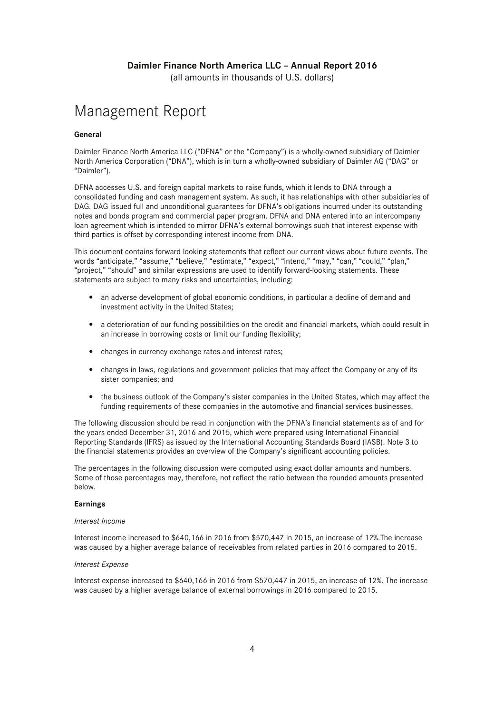# Management Report

### General

Daimler Finance North America LLC ("DFNA" or the "Company") is a wholly-owned subsidiary of Daimler North America Corporation ("DNA"), which is in turn a wholly-owned subsidiary of Daimler AG ("DAG" or "Daimler").

DFNA accesses U.S. and foreign capital markets to raise funds, which it lends to DNA through a consolidated funding and cash management system. As such, it has relationships with other subsidiaries of DAG. DAG issued full and unconditional guarantees for DFNA's obligations incurred under its outstanding notes and bonds program and commercial paper program. DFNA and DNA entered into an intercompany loan agreement which is intended to mirror DFNA's external borrowings such that interest expense with third parties is offset by corresponding interest income from DNA.

This document contains forward looking statements that reflect our current views about future events. The words "anticipate," "assume," "believe," "estimate," "expect," "intend," "may," "can," "could," "plan," "project," "should" and similar expressions are used to identify forward-looking statements. These statements are subject to many risks and uncertainties, including:

- an adverse development of global economic conditions, in particular a decline of demand and investment activity in the United States;
- a deterioration of our funding possibilities on the credit and financial markets, which could result in an increase in borrowing costs or limit our funding flexibility;
- changes in currency exchange rates and interest rates;
- changes in laws, regulations and government policies that may affect the Company or any of its sister companies; and
- the business outlook of the Company's sister companies in the United States, which may affect the funding requirements of these companies in the automotive and financial services businesses.

The following discussion should be read in conjunction with the DFNA's financial statements as of and for the years ended December 31, 2016 and 2015, which were prepared using International Financial Reporting Standards (IFRS) as issued by the International Accounting Standards Board (IASB). Note 3 to the financial statements provides an overview of the Company's significant accounting policies.

The percentages in the following discussion were computed using exact dollar amounts and numbers. Some of those percentages may, therefore, not reflect the ratio between the rounded amounts presented below.

### **Earnings**

#### Interest Income

Interest income increased to \$640,166 in 2016 from \$570,447 in 2015, an increase of 12%. The increase was caused by a higher average balance of receivables from related parties in 2016 compared to 2015.

### **Interest Expense**

Interest expense increased to \$640.166 in 2016 from \$570.447 in 2015, an increase of 12%. The increase was caused by a higher average balance of external borrowings in 2016 compared to 2015.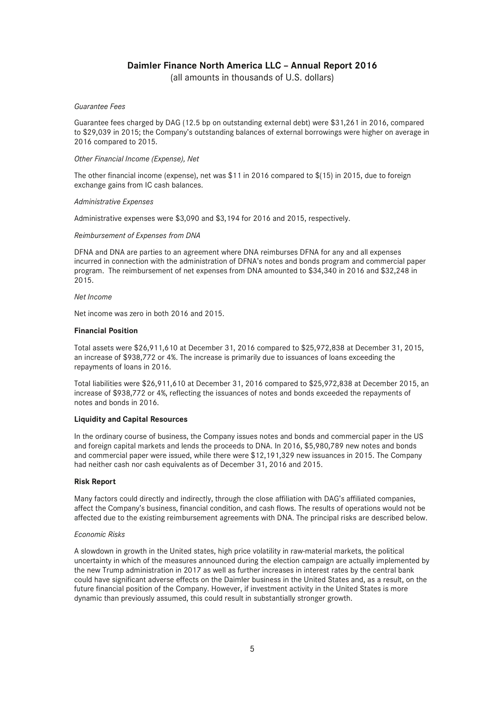(all amounts in thousands of U.S. dollars)

#### Guarantee Fees

Guarantee fees charged by DAG (12.5 bp on outstanding external debt) were \$31,261 in 2016, compared to \$29,039 in 2015; the Company's outstanding balances of external borrowings were higher on average in 2016 compared to 2015.

### Other Financial Income (Expense), Net

The other financial income (expense), net was \$11 in 2016 compared to \$(15) in 2015, due to foreign exchange gains from IC cash balances.

#### Administrative Expenses

Administrative expenses were \$3,090 and \$3,194 for 2016 and 2015, respectively.

### Reimbursement of Expenses from DNA

DFNA and DNA are parties to an agreement where DNA reimburses DFNA for any and all expenses incurred in connection with the administration of DFNA's notes and bonds program and commercial paper program. The reimbursement of net expenses from DNA amounted to \$34,340 in 2016 and \$32,248 in 2015

### Net Income

Net income was zero in both 2016 and 2015.

### **Financial Position**

Total assets were \$26,911,610 at December 31, 2016 compared to \$25,972,838 at December 31, 2015. an increase of \$938,772 or 4%. The increase is primarily due to issuances of loans exceeding the repayments of loans in 2016.

Total liabilities were \$26,911,610 at December 31, 2016 compared to \$25,972,838 at December 2015, an increase of \$938,772 or 4%, reflecting the issuances of notes and bonds exceeded the repayments of notes and bonds in 2016.

### **Liquidity and Capital Resources**

In the ordinary course of business, the Company issues notes and bonds and commercial paper in the US and foreign capital markets and lends the proceeds to DNA. In 2016, \$5,980,789 new notes and bonds and commercial paper were issued, while there were \$12,191,329 new issuances in 2015. The Company had neither cash nor cash equivalents as of December 31, 2016 and 2015.

#### **Risk Report**

Many factors could directly and indirectly, through the close affiliation with DAG's affiliated companies, affect the Company's business, financial condition, and cash flows. The results of operations would not be affected due to the existing reimbursement agreements with DNA. The principal risks are described below.

#### **Fconomic Risks**

A slowdown in growth in the United states, high price volatility in raw-material markets, the political uncertainty in which of the measures announced during the election campaign are actually implemented by the new Trump administration in 2017 as well as further increases in interest rates by the central bank could have significant adverse effects on the Daimler business in the United States and, as a result, on the future financial position of the Company. However, if investment activity in the United States is more dynamic than previously assumed, this could result in substantially stronger growth.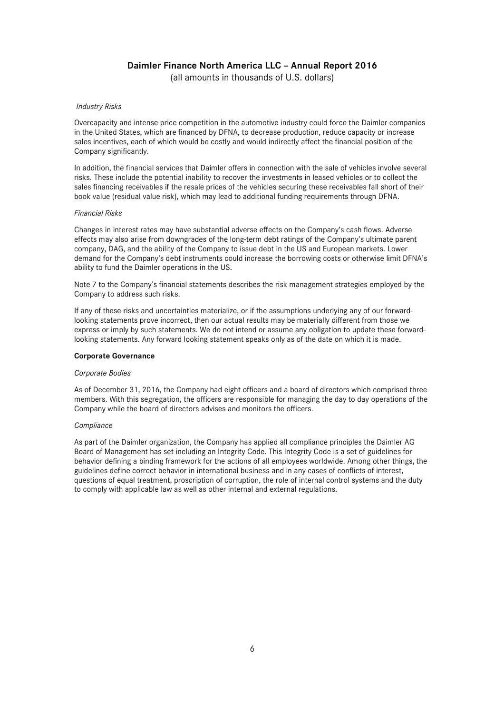(all amounts in thousands of U.S. dollars)

### **Industry Risks**

Overcapacity and intense price competition in the automotive industry could force the Daimler companies in the United States, which are financed by DFNA, to decrease production, reduce capacity or increase sales incentives, each of which would be costly and would indirectly affect the financial position of the Company significantly.

In addition, the financial services that Daimler offers in connection with the sale of vehicles involve several risks. These include the potential inability to recover the investments in leased vehicles or to collect the sales financing receivables if the resale prices of the vehicles securing these receivables fall short of their book value (residual value risk), which may lead to additional funding requirements through DFNA.

#### **Financial Risks**

Changes in interest rates may have substantial adverse effects on the Company's cash flows. Adverse effects may also arise from downgrades of the long-term debt ratings of the Company's ultimate parent company, DAG, and the ability of the Company to issue debt in the US and European markets. Lower demand for the Company's debt instruments could increase the borrowing costs or otherwise limit DFNA's ability to fund the Daimler operations in the US.

Note 7 to the Company's financial statements describes the risk management strategies employed by the Company to address such risks.

If any of these risks and uncertainties materialize, or if the assumptions underlying any of our forwardlooking statements prove incorrect, then our actual results may be materially different from those we express or imply by such statements. We do not intend or assume any obligation to update these forwardlooking statements. Any forward looking statement speaks only as of the date on which it is made.

### **Corporate Governance**

#### Corporate Bodies

As of December 31, 2016, the Company had eight officers and a board of directors which comprised three members. With this segregation, the officers are responsible for managing the day to day operations of the Company while the board of directors advises and monitors the officers.

#### Compliance

As part of the Daimler organization, the Company has applied all compliance principles the Daimler AG Board of Management has set including an Integrity Code. This Integrity Code is a set of guidelines for behavior defining a binding framework for the actions of all employees worldwide. Among other things, the guidelines define correct behavior in international business and in any cases of conflicts of interest. questions of equal treatment, proscription of corruption, the role of internal control systems and the duty to comply with applicable law as well as other internal and external regulations.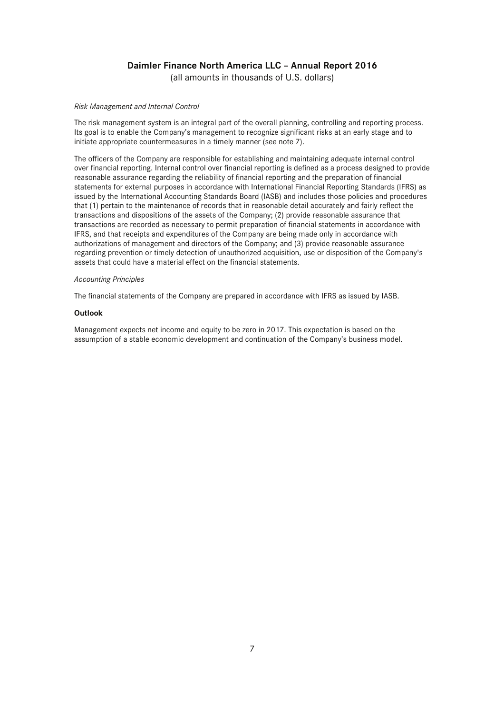(all amounts in thousands of U.S. dollars)

### Risk Management and Internal Control

The risk management system is an integral part of the overall planning, controlling and reporting process. Its goal is to enable the Company's management to recognize significant risks at an early stage and to initiate appropriate countermeasures in a timely manner (see note 7).

The officers of the Company are responsible for establishing and maintaining adequate internal control over financial reporting. Internal control over financial reporting is defined as a process designed to provide reasonable assurance regarding the reliability of financial reporting and the preparation of financial statements for external purposes in accordance with International Financial Reporting Standards (IFRS) as issued by the International Accounting Standards Board (IASB) and includes those policies and procedures that (1) pertain to the maintenance of records that in reasonable detail accurately and fairly reflect the transactions and dispositions of the assets of the Company; (2) provide reasonable assurance that transactions are recorded as necessary to permit preparation of financial statements in accordance with IFRS, and that receipts and expenditures of the Company are being made only in accordance with authorizations of management and directors of the Company; and (3) provide reasonable assurance regarding prevention or timely detection of unauthorized acquisition, use or disposition of the Company's assets that could have a material effect on the financial statements.

### **Accounting Principles**

The financial statements of the Company are prepared in accordance with IFRS as issued by IASB.

### Outlook

Management expects net income and equity to be zero in 2017. This expectation is based on the assumption of a stable economic development and continuation of the Company's business model.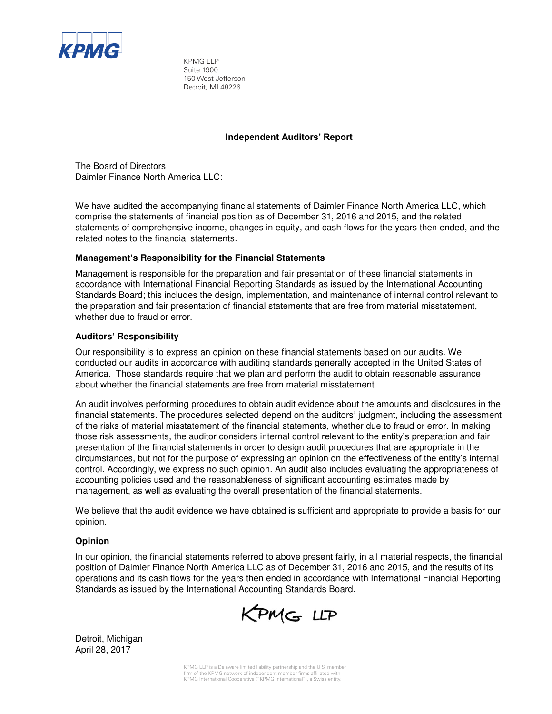

KPMG LLP Suite 1900 150 West Jefferson Detroit, MI 48226

### **Independent Auditors' Report**

The Board of Directors Daimler Finance North America LLC:

We have audited the accompanying financial statements of Daimler Finance North America LLC, which comprise the statements of financial position as of December 31, 2016 and 2015, and the related statements of comprehensive income, changes in equity, and cash flows for the years then ended, and the related notes to the financial statements.

### **Management's Responsibility for the Financial Statements**

Management is responsible for the preparation and fair presentation of these financial statements in accordance with International Financial Reporting Standards as issued by the International Accounting Standards Board; this includes the design, implementation, and maintenance of internal control relevant to the preparation and fair presentation of financial statements that are free from material misstatement, whether due to fraud or error.

### **Auditors' Responsibility**

Our responsibility is to express an opinion on these financial statements based on our audits. We conducted our audits in accordance with auditing standards generally accepted in the United States of America. Those standards require that we plan and perform the audit to obtain reasonable assurance about whether the financial statements are free from material misstatement.

An audit involves performing procedures to obtain audit evidence about the amounts and disclosures in the financial statements. The procedures selected depend on the auditors' judgment, including the assessment of the risks of material misstatement of the financial statements, whether due to fraud or error. In making those risk assessments, the auditor considers internal control relevant to the entity's preparation and fair presentation of the financial statements in order to design audit procedures that are appropriate in the circumstances, but not for the purpose of expressing an opinion on the effectiveness of the entity's internal control. Accordingly, we express no such opinion. An audit also includes evaluating the appropriateness of accounting policies used and the reasonableness of significant accounting estimates made by management, as well as evaluating the overall presentation of the financial statements.

We believe that the audit evidence we have obtained is sufficient and appropriate to provide a basis for our opinion.

### **Opinion**

In our opinion, the financial statements referred to above present fairly, in all material respects, the financial position of Daimler Finance North America LLC as of December 31, 2016 and 2015, and the results of its operations and its cash flows for the years then ended in accordance with International Financial Reporting Standards as issued by the International Accounting Standards Board.

KPMG LLP

Detroit, Michigan April 28, 2017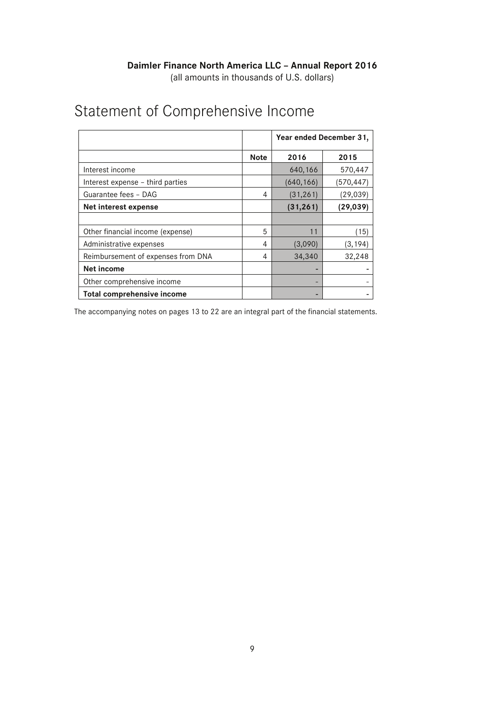# Statement of Comprehensive Income

|                                    |             | Year ended December 31, |           |  |
|------------------------------------|-------------|-------------------------|-----------|--|
|                                    | <b>Note</b> | 2016                    | 2015      |  |
| Interest income                    |             | 640,166                 | 570,447   |  |
| Interest expense - third parties   |             | (640, 166)              | (570,447) |  |
| Guarantee fees - DAG               | 4           | (31, 261)               | (29,039)  |  |
| Net interest expense               |             | (31, 261)               | (29, 039) |  |
|                                    |             |                         |           |  |
| Other financial income (expense)   | 5           | 11                      | (15)      |  |
| Administrative expenses            | 4           | (3,090)                 | (3, 194)  |  |
| Reimbursement of expenses from DNA | 4           | 34,340                  | 32,248    |  |
| Net income                         |             |                         |           |  |
| Other comprehensive income         |             |                         |           |  |
| Total comprehensive income         |             |                         |           |  |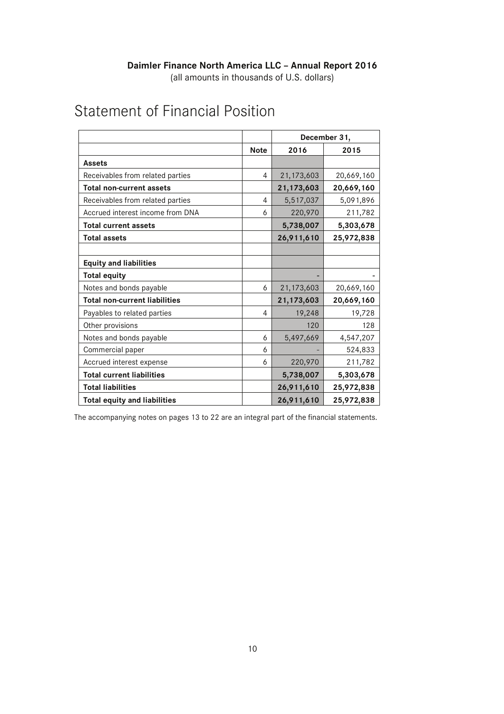# **Statement of Financial Position**

|                                      |             |            | December 31, |
|--------------------------------------|-------------|------------|--------------|
|                                      | <b>Note</b> | 2016       | 2015         |
| <b>Assets</b>                        |             |            |              |
| Receivables from related parties     | 4           | 21,173,603 | 20,669,160   |
| <b>Total non-current assets</b>      |             | 21,173,603 | 20,669,160   |
| Receivables from related parties     | 4           | 5,517,037  | 5,091,896    |
| Accrued interest income from DNA     | 6           | 220,970    | 211,782      |
| <b>Total current assets</b>          |             | 5,738,007  | 5,303,678    |
| <b>Total assets</b>                  |             | 26,911,610 | 25,972,838   |
|                                      |             |            |              |
| <b>Equity and liabilities</b>        |             |            |              |
| <b>Total equity</b>                  |             |            |              |
| Notes and bonds payable              | 6           | 21,173,603 | 20,669,160   |
| <b>Total non-current liabilities</b> |             | 21,173,603 | 20,669,160   |
| Payables to related parties          | 4           | 19,248     | 19,728       |
| Other provisions                     |             | 120        | 128          |
| Notes and bonds payable              | 6           | 5,497,669  | 4,547,207    |
| Commercial paper                     | 6           |            | 524,833      |
| Accrued interest expense             | 6           | 220,970    | 211,782      |
| <b>Total current liabilities</b>     |             | 5,738,007  | 5,303,678    |
| <b>Total liabilities</b>             |             | 26,911,610 | 25,972,838   |
| <b>Total equity and liabilities</b>  |             | 26,911,610 | 25,972,838   |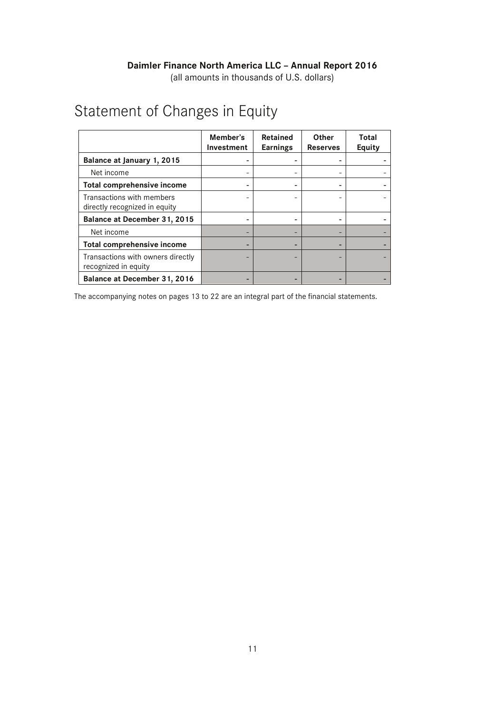# Statement of Changes in Equity

|                                                            | Member's<br>Investment | Retained<br><b>Earnings</b> | <b>Other</b><br><b>Reserves</b> | <b>Total</b><br><b>Equity</b> |
|------------------------------------------------------------|------------------------|-----------------------------|---------------------------------|-------------------------------|
| Balance at January 1, 2015                                 |                        |                             |                                 |                               |
| Net income                                                 |                        |                             |                                 |                               |
| Total comprehensive income                                 |                        |                             |                                 |                               |
| Transactions with members<br>directly recognized in equity |                        |                             |                                 |                               |
| Balance at December 31, 2015                               |                        | -                           |                                 |                               |
| Net income                                                 |                        | -                           |                                 |                               |
| Total comprehensive income                                 |                        | -                           |                                 |                               |
| Transactions with owners directly<br>recognized in equity  |                        |                             |                                 |                               |
| Balance at December 31, 2016                               |                        | -                           |                                 |                               |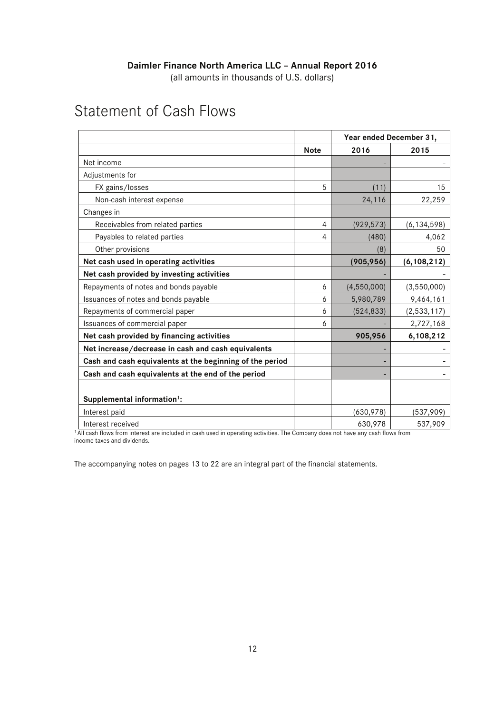# **Statement of Cash Flows**

|                                                          |             | Year ended December 31, |               |
|----------------------------------------------------------|-------------|-------------------------|---------------|
|                                                          | <b>Note</b> | 2016                    | 2015          |
| Net income                                               |             |                         |               |
| Adjustments for                                          |             |                         |               |
| FX gains/losses                                          | 5           | (11)                    | 15            |
| Non-cash interest expense                                |             | 24,116                  | 22,259        |
| Changes in                                               |             |                         |               |
| Receivables from related parties                         | 4           | (929, 573)              | (6, 134, 598) |
| Payables to related parties                              | 4           | (480)                   | 4,062         |
| Other provisions                                         |             | (8)                     | 50            |
| Net cash used in operating activities                    |             | (905, 956)              | (6, 108, 212) |
| Net cash provided by investing activities                |             |                         |               |
| Repayments of notes and bonds payable                    | 6           | (4, 550, 000)           | (3,550,000)   |
| Issuances of notes and bonds payable                     | 6           | 5,980,789               | 9,464,161     |
| Repayments of commercial paper                           | 6           | (524, 833)              | (2,533,117)   |
| Issuances of commercial paper                            | 6           |                         | 2,727,168     |
| Net cash provided by financing activities                |             | 905,956                 | 6,108,212     |
| Net increase/decrease in cash and cash equivalents       |             |                         |               |
| Cash and cash equivalents at the beginning of the period |             |                         |               |
| Cash and cash equivalents at the end of the period       |             |                         |               |
|                                                          |             |                         |               |
| Supplemental information <sup>1</sup> :                  |             |                         |               |
| Interest paid                                            |             | (630, 978)              | (537,909)     |
| Interest received                                        |             | 630,978                 | 537,909       |

<sup>1</sup> All cash flows from interest are included in cash used in operating activities. The Company does not have any cash flows from income taxes and dividends.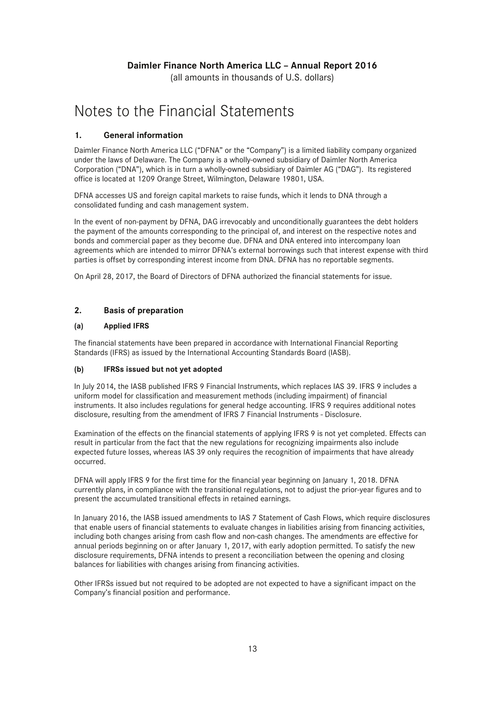(all amounts in thousands of U.S. dollars)

## Notes to the Financial Statements

#### $\mathbf{1}$ . **General information**

Daimler Finance North America LLC ("DFNA" or the "Company") is a limited liability company organized under the laws of Delaware. The Company is a wholly-owned subsidiary of Daimler North America Corporation ("DNA"), which is in turn a wholly-owned subsidiary of Daimler AG ("DAG"). Its registered office is located at 1209 Orange Street, Wilmington, Delaware 19801, USA.

DFNA accesses US and foreign capital markets to raise funds, which it lends to DNA through a consolidated funding and cash management system.

In the event of non-payment by DFNA, DAG irrevocably and unconditionally guarantees the debt holders the payment of the amounts corresponding to the principal of, and interest on the respective notes and bonds and commercial paper as they become due. DFNA and DNA entered into intercompany loan agreements which are intended to mirror DFNA's external borrowings such that interest expense with third parties is offset by corresponding interest income from DNA. DFNA has no reportable segments.

On April 28, 2017, the Board of Directors of DFNA authorized the financial statements for issue.

#### $2.$ **Basis of preparation**

#### **Applied IFRS**  $(a)$

The financial statements have been prepared in accordance with International Financial Reporting Standards (IFRS) as issued by the International Accounting Standards Board (IASB).

#### $(b)$ IFRSs issued but not yet adopted

In July 2014, the IASB published IFRS 9 Financial Instruments, which replaces IAS 39. IFRS 9 includes a uniform model for classification and measurement methods (including impairment) of financial instruments. It also includes regulations for general hedge accounting. IFRS 9 requires additional notes disclosure, resulting from the amendment of IFRS 7 Financial Instruments - Disclosure.

Examination of the effects on the financial statements of applying IFRS 9 is not yet completed. Effects can result in particular from the fact that the new regulations for recognizing impairments also include expected future losses, whereas IAS 39 only requires the recognition of impairments that have already occurred.

DFNA will apply IFRS 9 for the first time for the financial year beginning on January 1, 2018. DFNA currently plans, in compliance with the transitional regulations, not to adjust the prior-year figures and to present the accumulated transitional effects in retained earnings.

In January 2016, the IASB issued amendments to IAS 7 Statement of Cash Flows, which require disclosures that enable users of financial statements to evaluate changes in liabilities arising from financing activities, including both changes arising from cash flow and non-cash changes. The amendments are effective for annual periods beginning on or after January 1, 2017, with early adoption permitted. To satisfy the new disclosure requirements. DFNA intends to present a reconciliation between the opening and closing balances for liabilities with changes arising from financing activities.

Other IFRSs issued but not required to be adopted are not expected to have a significant impact on the Company's financial position and performance.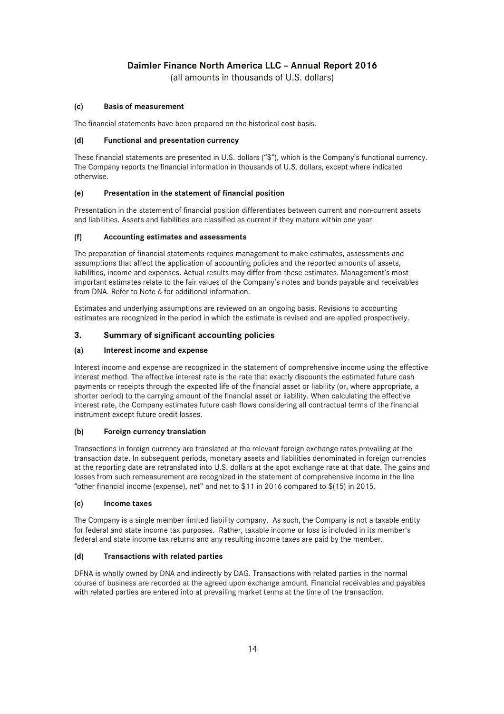(all amounts in thousands of U.S. dollars)

#### $(c)$ **Basis of measurement**

The financial statements have been prepared on the historical cost basis.

#### Functional and presentation currency  $(d)$

These financial statements are presented in U.S. dollars ("\$"), which is the Company's functional currency. The Company reports the financial information in thousands of U.S. dollars, except where indicated otherwise.

#### $(e)$ Presentation in the statement of financial position

Presentation in the statement of financial position differentiates between current and non-current assets and liabilities. Assets and liabilities are classified as current if they mature within one year.

#### $(f)$ Accounting estimates and assessments

The preparation of financial statements requires management to make estimates, assessments and assumptions that affect the application of accounting policies and the reported amounts of assets, liabilities, income and expenses. Actual results may differ from these estimates. Management's most important estimates relate to the fair values of the Company's notes and bonds payable and receivables from DNA. Refer to Note 6 for additional information.

Estimates and underlying assumptions are reviewed on an ongoing basis. Revisions to accounting estimates are recognized in the period in which the estimate is revised and are applied prospectively.

#### $3.$ Summary of significant accounting policies

#### Interest income and expense  $(a)$

Interest income and expense are recognized in the statement of comprehensive income using the effective interest method. The effective interest rate is the rate that exactly discounts the estimated future cash payments or receipts through the expected life of the financial asset or liability (or, where appropriate, a shorter period) to the carrying amount of the financial asset or liability. When calculating the effective interest rate, the Company estimates future cash flows considering all contractual terms of the financial instrument except future credit losses.

#### $(b)$ Foreign currency translation

Transactions in foreign currency are translated at the relevant foreign exchange rates prevailing at the transaction date. In subsequent periods, monetary assets and liabilities denominated in foreign currencies at the reporting date are retranslated into U.S. dollars at the spot exchange rate at that date. The gains and losses from such remeasurement are recognized in the statement of comprehensive income in the line "other financial income (expense), net" and net to \$11 in 2016 compared to \$(15) in 2015.

#### $(c)$ Income taxes

The Company is a single member limited liability company. As such, the Company is not a taxable entity for federal and state income tax purposes. Rather, taxable income or loss is included in its member's federal and state income tax returns and any resulting income taxes are paid by the member.

#### Transactions with related parties  $(d)$

DFNA is wholly owned by DNA and indirectly by DAG. Transactions with related parties in the normal course of business are recorded at the agreed upon exchange amount. Financial receivables and payables with related parties are entered into at prevailing market terms at the time of the transaction.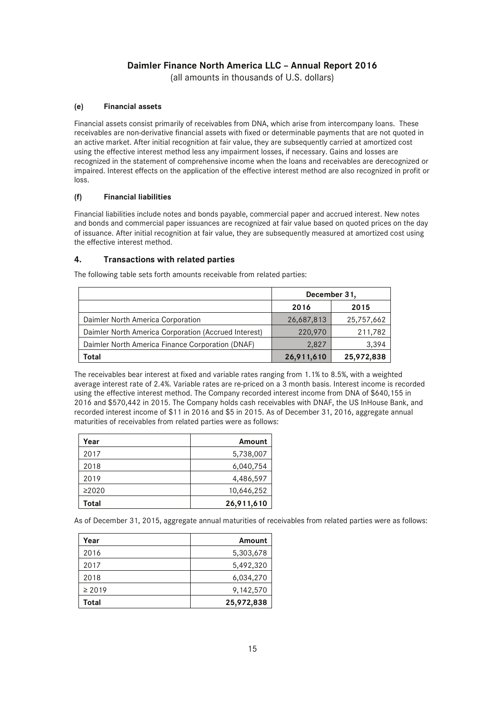(all amounts in thousands of U.S. dollars)

#### $(e)$ **Financial assets**

Financial assets consist primarily of receivables from DNA, which arise from intercompany loans. These receivables are non-derivative financial assets with fixed or determinable payments that are not quoted in an active market. After initial recognition at fair value, they are subsequently carried at amortized cost using the effective interest method less any impairment losses, if necessary. Gains and losses are recognized in the statement of comprehensive income when the loans and receivables are derecognized or impaired. Interest effects on the application of the effective interest method are also recognized in profit or loss.

#### $(f)$ **Financial liabilities**

Financial liabilities include notes and bonds payable, commercial paper and accrued interest. New notes and bonds and commercial paper issuances are recognized at fair value based on quoted prices on the day of issuance. After initial recognition at fair value, they are subsequently measured at amortized cost using the effective interest method.

#### 4. **Transactions with related parties**

The following table sets forth amounts receivable from related parties:

|                                                      | December 31, |            |  |
|------------------------------------------------------|--------------|------------|--|
|                                                      | 2016<br>2015 |            |  |
| Daimler North America Corporation                    | 26,687,813   | 25,757,662 |  |
| Daimler North America Corporation (Accrued Interest) | 220,970      | 211,782    |  |
| Daimler North America Finance Corporation (DNAF)     | 2,827        | 3,394      |  |
| 26,911,610<br>25,972,838<br>Total                    |              |            |  |

The receivables bear interest at fixed and variable rates ranging from 1.1% to 8.5%, with a weighted average interest rate of 2.4%. Variable rates are re-priced on a 3 month basis. Interest income is recorded using the effective interest method. The Company recorded interest income from DNA of \$640,155 in 2016 and \$570,442 in 2015. The Company holds cash receivables with DNAF, the US InHouse Bank, and recorded interest income of \$11 in 2016 and \$5 in 2015. As of December 31, 2016, aggregate annual maturities of receivables from related parties were as follows:

| Year        | Amount     |
|-------------|------------|
| 2017        | 5,738,007  |
| 2018        | 6,040,754  |
| 2019        | 4,486,597  |
| $\geq 2020$ | 10,646,252 |
| Total       | 26,911,610 |

As of December 31, 2015, aggregate annual maturities of receivables from related parties were as follows:

| Year        | Amount     |
|-------------|------------|
| 2016        | 5,303,678  |
| 2017        | 5,492,320  |
| 2018        | 6,034,270  |
| $\geq 2019$ | 9,142,570  |
| Total       | 25,972,838 |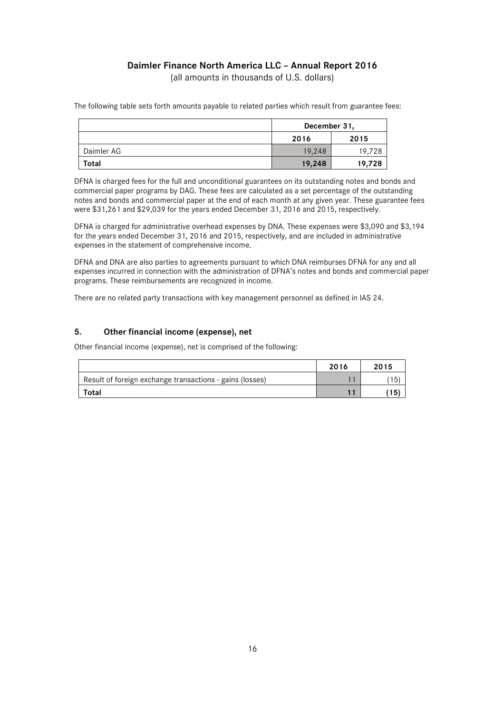(all amounts in thousands of U.S. dollars)

The following table sets forth amounts payable to related parties which result from guarantee fees:

|            | December 31, |        |  |
|------------|--------------|--------|--|
|            | 2016<br>2015 |        |  |
| Daimler AG | 19,248       | 19,728 |  |
| Total      | 19,248       | 19,728 |  |

DFNA is charged fees for the full and unconditional guarantees on its outstanding notes and bonds and commercial paper programs by DAG. These fees are calculated as a set percentage of the outstanding notes and bonds and commercial paper at the end of each month at any given year. These guarantee fees were \$31,261 and \$29,039 for the years ended December 31, 2016 and 2015, respectively.

DFNA is charged for administrative overhead expenses by DNA. These expenses were \$3,090 and \$3,194 for the years ended December 31, 2016 and 2015, respectively, and are included in administrative expenses in the statement of comprehensive income.

DFNA and DNA are also parties to agreements pursuant to which DNA reimburses DFNA for any and all expenses incurred in connection with the administration of DFNA's notes and bonds and commercial paper programs. These reimbursements are recognized in income.

There are no related party transactions with key management personnel as defined in IAS 24.

#### $5<sub>1</sub>$ Other financial income (expense), net

Other financial income (expense), net is comprised of the following:

|                                                          | 2016 | 2015 |
|----------------------------------------------------------|------|------|
| Result of foreign exchange transactions - gains (losses) |      | 15   |
| Total                                                    |      | 15   |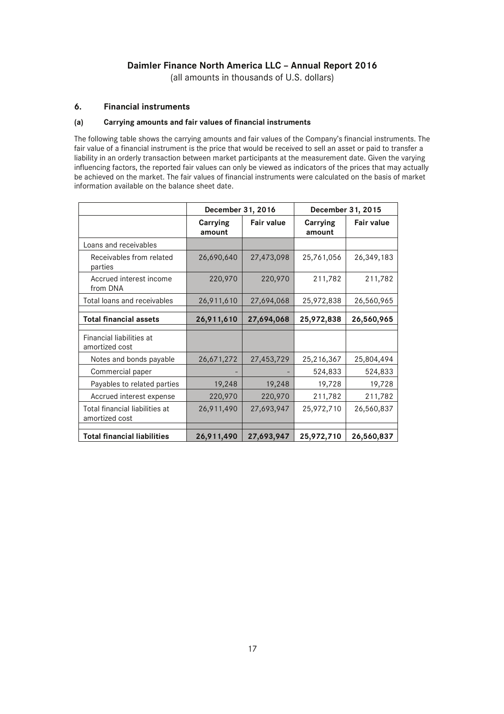(all amounts in thousands of U.S. dollars)

#### 6. **Financial instruments**

#### Carrying amounts and fair values of financial instruments  $(a)$

The following table shows the carrying amounts and fair values of the Company's financial instruments. The fair value of a financial instrument is the price that would be received to sell an asset or paid to transfer a liability in an orderly transaction between market participants at the measurement date. Given the varying influencing factors, the reported fair values can only be viewed as indicators of the prices that may actually be achieved on the market. The fair values of financial instruments were calculated on the basis of market information available on the balance sheet date.

|                                                  | December 31, 2016  |                   |                    | December 31, 2015 |
|--------------------------------------------------|--------------------|-------------------|--------------------|-------------------|
|                                                  | Carrying<br>amount | <b>Fair value</b> | Carrying<br>amount | Fair value        |
| Loans and receivables                            |                    |                   |                    |                   |
| Receivables from related<br>parties              | 26,690,640         | 27,473,098        | 25,761,056         | 26,349,183        |
| Accrued interest income<br>from DNA              | 220,970            | 220,970           | 211,782            | 211,782           |
| Total loans and receivables                      | 26,911,610         | 27,694,068        | 25,972,838         | 26,560,965        |
| <b>Total financial assets</b>                    | 26,911,610         | 27,694,068        | 25,972,838         | 26,560,965        |
| Financial liabilities at<br>amortized cost       |                    |                   |                    |                   |
| Notes and bonds payable                          | 26,671,272         | 27,453,729        | 25,216,367         | 25,804,494        |
| Commercial paper                                 |                    |                   | 524,833            | 524,833           |
| Payables to related parties                      | 19,248             | 19,248            | 19,728             | 19,728            |
| Accrued interest expense                         | 220,970            | 220,970           | 211,782            | 211,782           |
| Total financial liabilities at<br>amortized cost | 26,911,490         | 27,693,947        | 25,972,710         | 26,560,837        |
| <b>Total financial liabilities</b>               | 26,911,490         | 27,693,947        | 25,972,710         | 26,560,837        |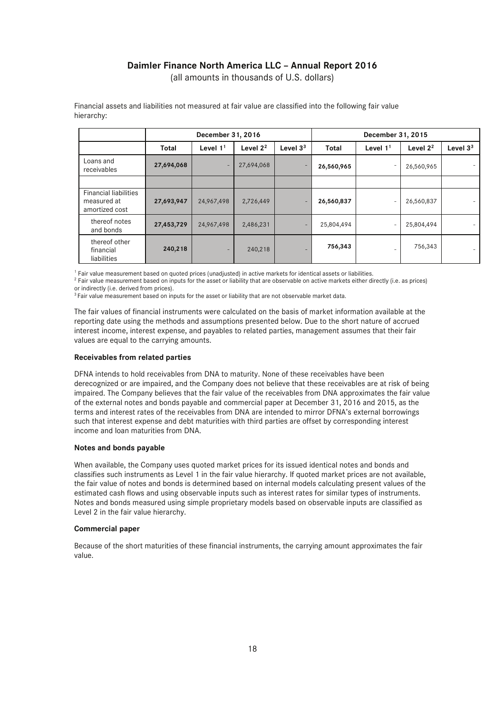(all amounts in thousands of U.S. dollars)

|                                                               | December 31, 2016 |            |                      | December 31, 2015        |              |            |                      |            |
|---------------------------------------------------------------|-------------------|------------|----------------------|--------------------------|--------------|------------|----------------------|------------|
|                                                               | <b>Total</b>      | Level $11$ | Level 2 <sup>2</sup> | Level $33$               | <b>Total</b> | Level $11$ | Level 2 <sup>2</sup> | Level $33$ |
| Loans and<br>receivables                                      | 27,694,068        | -          | 27,694,068           | $\overline{\phantom{a}}$ | 26,560,965   |            | 26,560,965           |            |
|                                                               |                   |            |                      |                          |              |            |                      |            |
| <b>Financial liabilities</b><br>measured at<br>amortized cost | 27,693,947        | 24,967,498 | 2,726,449            | $\overline{\phantom{a}}$ | 26,560,837   |            | 26,560,837           |            |
| thereof notes<br>and bonds                                    | 27,453,729        | 24,967,498 | 2,486,231            |                          | 25,804,494   |            | 25,804,494           |            |
| thereof other<br>financial<br>liabilities                     | 240,218           |            | 240,218              |                          | 756,343      |            | 756,343              |            |

Financial assets and liabilities not measured at fair value are classified into the following fair value hierarchy:

<sup>1</sup> Fair value measurement based on quoted prices (unadjusted) in active markets for identical assets or liabilities.

<sup>2</sup> Fair value measurement based on inputs for the asset or liability that are observable on active markets either directly (i.e. as prices) or indirectly (i.e. derived from prices).

<sup>3</sup> Fair value measurement based on inputs for the asset or liability that are not observable market data.

The fair values of financial instruments were calculated on the basis of market information available at the reporting date using the methods and assumptions presented below. Due to the short nature of accrued interest income, interest expense, and payables to related parties, management assumes that their fair values are equal to the carrying amounts.

### Receivables from related parties

DFNA intends to hold receivables from DNA to maturity. None of these receivables have been derecognized or are impaired, and the Company does not believe that these receivables are at risk of being impaired. The Company believes that the fair value of the receivables from DNA approximates the fair value of the external notes and bonds payable and commercial paper at December 31, 2016 and 2015, as the terms and interest rates of the receivables from DNA are intended to mirror DFNA's external borrowings such that interest expense and debt maturities with third parties are offset by corresponding interest income and loan maturities from DNA.

### Notes and bonds payable

When available, the Company uses quoted market prices for its issued identical notes and bonds and classifies such instruments as Level 1 in the fair value hierarchy. If quoted market prices are not available, the fair value of notes and bonds is determined based on internal models calculating present values of the estimated cash flows and using observable inputs such as interest rates for similar types of instruments. Notes and bonds measured using simple proprietary models based on observable inputs are classified as Level 2 in the fair value hierarchy.

### **Commercial paper**

Because of the short maturities of these financial instruments, the carrying amount approximates the fair value.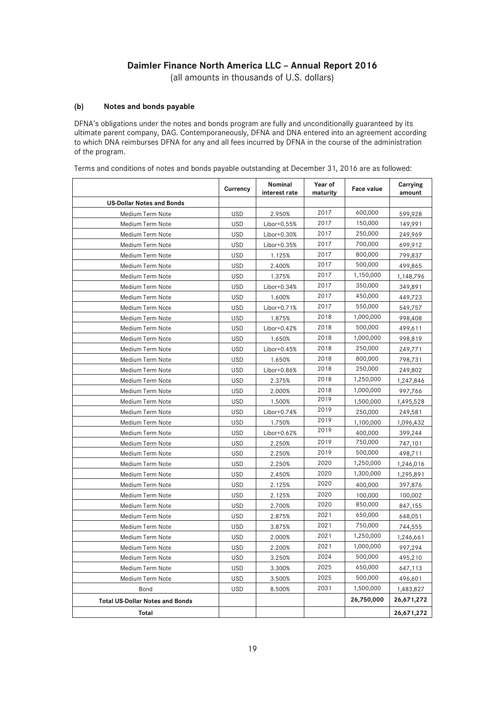(all amounts in thousands of U.S. dollars)

#### Notes and bonds payable  $(b)$

DFNA's obligations under the notes and bonds program are fully and unconditionally guaranteed by its ultimate parent company, DAG. Contemporaneously, DFNA and DNA entered into an agreement according to which DNA reimburses DFNA for any and all fees incurred by DFNA in the course of the administration of the program.

|                                        | Currency   | Nominal<br>interest rate | Year of<br>maturity | <b>Face value</b> | Carrying<br>amount |
|----------------------------------------|------------|--------------------------|---------------------|-------------------|--------------------|
| <b>US-Dollar Notes and Bonds</b>       |            |                          |                     |                   |                    |
| Medium Term Note                       | <b>USD</b> | 2.950%                   | 2017                | 600,000           | 599,928            |
| Medium Term Note                       | <b>USD</b> | Libor+0.55%              | 2017                | 150,000           | 149,991            |
| Medium Term Note                       | <b>USD</b> | Libor+0.30%              | 2017                | 250,000           | 249,969            |
| Medium Term Note                       | <b>USD</b> | Libor+0.35%              | 2017                | 700,000           | 699,912            |
| Medium Term Note                       | <b>USD</b> | 1.125%                   | 2017                | 800,000           | 799,837            |
| Medium Term Note                       | <b>USD</b> | 2.400%                   | 2017                | 500,000           | 499,865            |
| Medium Term Note                       | <b>USD</b> | 1.375%                   | 2017                | 1,150,000         | 1,148,796          |
| Medium Term Note                       | <b>USD</b> | Libor+0.34%              | 2017                | 350,000           | 349,891            |
| Medium Term Note                       | <b>USD</b> | 1.600%                   | 2017                | 450,000           | 449,723            |
| Medium Term Note                       | <b>USD</b> | Libor+0.71%              | 2017                | 550,000           | 549,757            |
| Medium Term Note                       | <b>USD</b> | 1.875%                   | 2018                | 1,000,000         | 998,408            |
| Medium Term Note                       | <b>USD</b> | Libor+0.42%              | 2018                | 500,000           | 499,611            |
| Medium Term Note                       | <b>USD</b> | 1.650%                   | 2018                | 1,000,000         | 998,819            |
| Medium Term Note                       | <b>USD</b> | Libor+0.45%              | 2018                | 250,000           | 249,771            |
| Medium Term Note                       | <b>USD</b> | 1.650%                   | 2018                | 800,000           | 798,731            |
| Medium Term Note                       | <b>USD</b> | Libor+0.86%              | 2018                | 250,000           | 249,802            |
| Medium Term Note                       | <b>USD</b> | 2.375%                   | 2018                | 1,250,000         | 1,247,846          |
| Medium Term Note                       | <b>USD</b> | 2.000%                   | 2018                | 1,000,000         | 997,766            |
| Medium Term Note                       | <b>USD</b> | 1.500%                   | 2019                | 1,500,000         | 1,495,528          |
| Medium Term Note                       | <b>USD</b> | Libor+0.74%              | 2019                | 250,000           | 249,581            |
| Medium Term Note                       | <b>USD</b> | 1.750%                   | 2019                | 1,100,000         | 1,096,432          |
| Medium Term Note                       | <b>USD</b> | Libor+0.62%              | 2019                | 400,000           | 399,244            |
| Medium Term Note                       | <b>USD</b> | 2.250%                   | 2019                | 750,000           | 747,101            |
| Medium Term Note                       | <b>USD</b> | 2.250%                   | 2019                | 500,000           | 498,711            |
| Medium Term Note                       | <b>USD</b> | 2.250%                   | 2020                | 1,250,000         | 1,246,016          |
| Medium Term Note                       | <b>USD</b> | 2.450%                   | 2020                | 1,300,000         | 1,295,891          |
| Medium Term Note                       | <b>USD</b> | 2.125%                   | 2020                | 400,000           | 397,876            |
| Medium Term Note                       | <b>USD</b> | 2.125%                   | 2020                | 100,000           | 100,002            |
| Medium Term Note                       | <b>USD</b> | 2.700%                   | 2020                | 850,000           | 847,155            |
| Medium Term Note                       | <b>USD</b> | 2.875%                   | 2021                | 650,000           | 648,051            |
| Medium Term Note                       | <b>USD</b> | 3.875%                   | 2021                | 750,000           | 744,555            |
| Medium Term Note                       | <b>USD</b> | 2.000%                   | 2021                | 1,250,000         | 1,246,661          |
| Medium Term Note                       | <b>USD</b> | 2.200%                   | 2021                | 1,000,000         | 997,294            |
| Medium Term Note                       | <b>USD</b> | 3.250%                   | 2024                | 500,000           | 495,210            |
| Medium Term Note                       | <b>USD</b> | 3.300%                   | 2025                | 650,000           | 647,113            |
| Medium Term Note                       | <b>USD</b> | 3.500%                   | 2025                | 500,000           | 496,601            |
| Bond                                   | <b>USD</b> | 8.500%                   | 2031                | 1,500,000         | 1,483,827          |
| <b>Total US-Dollar Notes and Bonds</b> |            |                          |                     | 26,750,000        | 26,671,272         |
| Total                                  |            |                          |                     |                   | 26,671,272         |

Terms and conditions of notes and bonds payable outstanding at December 31, 2016 are as followed: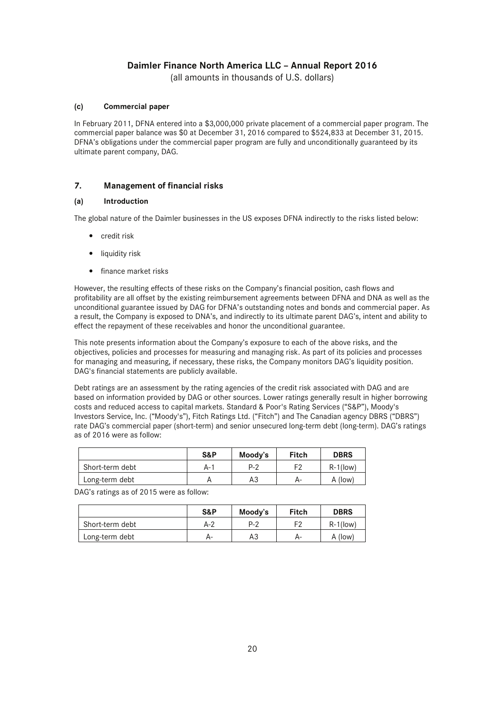(all amounts in thousands of U.S. dollars)

#### $(c)$ **Commercial paper**

In February 2011, DFNA entered into a \$3,000,000 private placement of a commercial paper program. The commercial paper balance was \$0 at December 31, 2016 compared to \$524,833 at December 31, 2015. DFNA's obligations under the commercial paper program are fully and unconditionally guaranteed by its ultimate parent company, DAG.

#### $\overline{7}$ . **Management of financial risks**

#### $(a)$ Introduction

The global nature of the Daimler businesses in the US exposes DFNA indirectly to the risks listed below:

- $\bullet$  credit risk
- liquidity risk
- finance market risks

However, the resulting effects of these risks on the Company's financial position, cash flows and profitability are all offset by the existing reimbursement agreements between DFNA and DNA as well as the unconditional guarantee issued by DAG for DFNA's outstanding notes and bonds and commercial paper. As a result, the Company is exposed to DNA's, and indirectly to its ultimate parent DAG's, intent and ability to effect the repayment of these receivables and honor the unconditional guarantee.

This note presents information about the Company's exposure to each of the above risks, and the objectives, policies and processes for measuring and managing risk. As part of its policies and processes for managing and measuring, if necessary, these risks, the Company monitors DAG's liquidity position. DAG's financial statements are publicly available.

Debt ratings are an assessment by the rating agencies of the credit risk associated with DAG and are based on information provided by DAG or other sources. Lower ratings generally result in higher borrowing costs and reduced access to capital markets. Standard & Poor's Rating Services ("S&P"), Moody's Investors Service, Inc. ("Moody's"), Fitch Ratings Ltd. ("Fitch") and The Canadian agency DBRS ("DBRS") rate DAG's commercial paper (short-term) and senior unsecured long-term debt (long-term). DAG's ratings as of 2016 were as follow:

|                 | S&P | Moody's | <b>Fitch</b> | <b>DBRS</b> |
|-----------------|-----|---------|--------------|-------------|
| Short-term debt | A-1 | $P-2$   | 口つ           | $R-1$ (low) |
| Long-term debt  |     | AЗ      | д-           | A (low)     |

DAG's ratings as of 2015 were as follow:

|                 | S&P | Moody's | <b>Fitch</b> | <b>DBRS</b> |
|-----------------|-----|---------|--------------|-------------|
| Short-term debt | A-2 | $P-2$   | F2           | $R-1$ (low) |
| Long-term debt  | А-  | AЗ      | А-           | A (low      |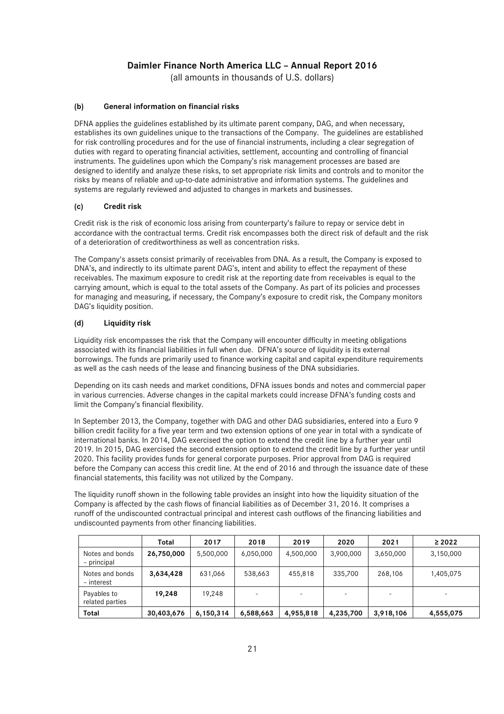(all amounts in thousands of U.S. dollars)

#### $(b)$ General information on financial risks

DFNA applies the guidelines established by its ultimate parent company, DAG, and when necessary, establishes its own guidelines unique to the transactions of the Company. The guidelines are established for risk controlling procedures and for the use of financial instruments, including a clear segregation of duties with regard to operating financial activities, settlement, accounting and controlling of financial instruments. The guidelines upon which the Company's risk management processes are based are designed to identify and analyze these risks, to set appropriate risk limits and controls and to monitor the risks by means of reliable and up-to-date administrative and information systems. The guidelines and systems are regularly reviewed and adjusted to changes in markets and businesses.

#### **Credit risk**  $(c)$

Credit risk is the risk of economic loss arising from counterparty's failure to repay or service debt in accordance with the contractual terms. Credit risk encompasses both the direct risk of default and the risk of a deterioration of creditworthiness as well as concentration risks.

The Company's assets consist primarily of receivables from DNA. As a result, the Company is exposed to DNA's, and indirectly to its ultimate parent DAG's, intent and ability to effect the repayment of these receivables. The maximum exposure to credit risk at the reporting date from receivables is equal to the carrying amount, which is equal to the total assets of the Company. As part of its policies and processes for managing and measuring, if necessary, the Company's exposure to credit risk, the Company monitors DAG's liquidity position.

#### $(d)$ **Liquidity risk**

Liquidity risk encompasses the risk that the Company will encounter difficulty in meeting obligations associated with its financial liabilities in full when due. DFNA's source of liquidity is its external borrowings. The funds are primarily used to finance working capital and capital expenditure requirements as well as the cash needs of the lease and financing business of the DNA subsidiaries.

Depending on its cash needs and market conditions, DFNA issues bonds and notes and commercial paper in various currencies. Adverse changes in the capital markets could increase DFNA's funding costs and limit the Company's financial flexibility.

In September 2013, the Company, together with DAG and other DAG subsidiaries, entered into a Euro 9 billion credit facility for a five year term and two extension options of one year in total with a syndicate of international banks. In 2014, DAG exercised the option to extend the credit line by a further year until 2019. In 2015, DAG exercised the second extension option to extend the credit line by a further year until 2020. This facility provides funds for general corporate purposes. Prior approval from DAG is required before the Company can access this credit line. At the end of 2016 and through the issuance date of these financial statements, this facility was not utilized by the Company.

The liquidity runoff shown in the following table provides an insight into how the liquidity situation of the Company is affected by the cash flows of financial liabilities as of December 31, 2016. It comprises a runoff of the undiscounted contractual principal and interest cash outflows of the financing liabilities and undiscounted payments from other financing liabilities.

|                                | Total      | 2017      | 2018      | 2019      | 2020      | 2021      | $\geq 2022$ |
|--------------------------------|------------|-----------|-----------|-----------|-----------|-----------|-------------|
| Notes and bonds<br>- principal | 26,750,000 | 5,500,000 | 6,050,000 | 4,500,000 | 3,900,000 | 3,650,000 | 3,150,000   |
| Notes and bonds<br>- interest  | 3,634,428  | 631,066   | 538,663   | 455,818   | 335,700   | 268,106   | 1,405,075   |
| Payables to<br>related parties | 19,248     | 19,248    |           |           |           |           | -           |
| Total                          | 30,403,676 | 6,150,314 | 6,588,663 | 4,955,818 | 4,235,700 | 3,918,106 | 4,555,075   |